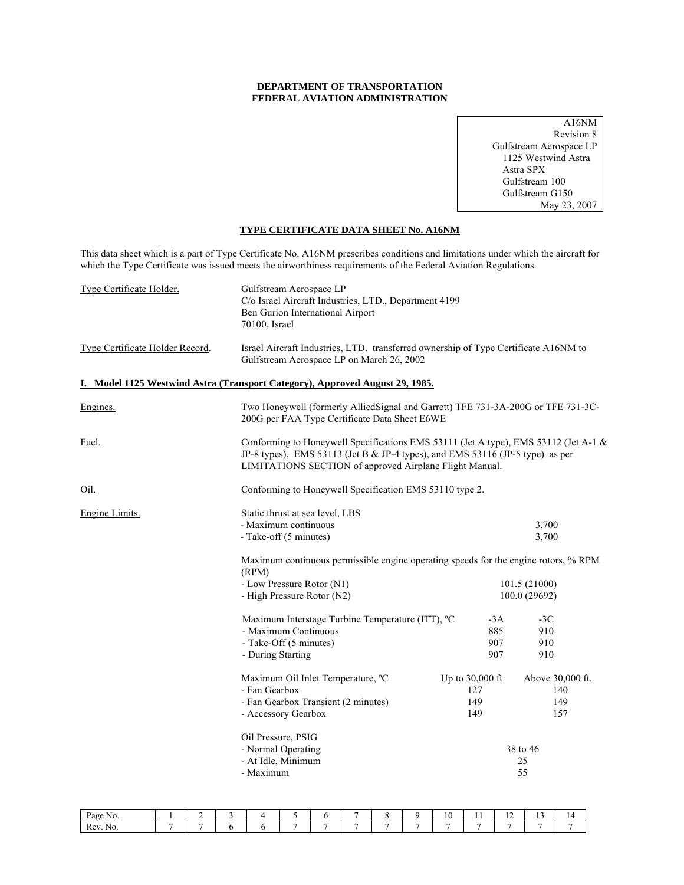#### **DEPARTMENT OF TRANSPORTATION FEDERAL AVIATION ADMINISTRATION**

A16NM Revision 8 Gulfstream Aerospace LP 1125 Westwind Astra Astra SPX Gulfstream 100 Gulfstream G150 May 23, 2007

### **TYPE CERTIFICATE DATA SHEET No. A16NM**

This data sheet which is a part of Type Certificate No. A16NM prescribes conditions and limitations under which the aircraft for which the Type Certificate was issued meets the airworthiness requirements of the Federal Aviation Regulations.

| Type Certificate Holder.        | Gulfstream Aerospace LP<br>C/o Israel Aircraft Industries, LTD., Department 4199<br>Ben Gurion International Airport<br>70100, Israel                                                                                           |                                      |                                                               |
|---------------------------------|---------------------------------------------------------------------------------------------------------------------------------------------------------------------------------------------------------------------------------|--------------------------------------|---------------------------------------------------------------|
| Type Certificate Holder Record. | Israel Aircraft Industries, LTD. transferred ownership of Type Certificate A16NM to<br>Gulfstream Aerospace LP on March 26, 2002                                                                                                |                                      |                                                               |
|                                 | I. Model 1125 Westwind Astra (Transport Category), Approved August 29, 1985.                                                                                                                                                    |                                      |                                                               |
| Engines.                        | Two Honeywell (formerly AlliedSignal and Garrett) TFE 731-3A-200G or TFE 731-3C-<br>200G per FAA Type Certificate Data Sheet E6WE                                                                                               |                                      |                                                               |
| <u>Fuel.</u>                    | Conforming to Honeywell Specifications EMS 53111 (Jet A type), EMS 53112 (Jet A-1 &<br>JP-8 types), EMS 53113 (Jet B & JP-4 types), and EMS 53116 (JP-5 type) as per<br>LIMITATIONS SECTION of approved Airplane Flight Manual. |                                      |                                                               |
| Oil.                            | Conforming to Honeywell Specification EMS 53110 type 2.                                                                                                                                                                         |                                      |                                                               |
| Engine Limits.                  | Static thrust at sea level, LBS<br>- Maximum continuous<br>- Take-off (5 minutes)                                                                                                                                               |                                      | 3,700<br>3,700                                                |
|                                 | Maximum continuous permissible engine operating speeds for the engine rotors, % RPM<br>(RPM)                                                                                                                                    |                                      |                                                               |
|                                 | - Low Pressure Rotor (N1)<br>- High Pressure Rotor (N2)                                                                                                                                                                         |                                      | 101.5 (21000)<br>100.0 (29692)                                |
|                                 | Maximum Interstage Turbine Temperature (ITT), °C<br>- Maximum Continuous<br>- Take-Off (5 minutes)<br>- During Starting                                                                                                         | $-3A$<br>885<br>907<br>907           | $-3C$<br>910<br>910<br>910                                    |
|                                 | Maximum Oil Inlet Temperature, °C<br>- Fan Gearbox<br>- Fan Gearbox Transient (2 minutes)<br>- Accessory Gearbox<br>Oil Pressure, PSIG<br>- Normal Operating<br>- At Idle, Minimum<br>- Maximum                                 | Up to 30,000 ft<br>127<br>149<br>149 | Above 30,000 ft.<br>140<br>149<br>157<br>38 to 46<br>25<br>55 |
|                                 |                                                                                                                                                                                                                                 |                                      |                                                               |

| Page No. |  |  |   |        |   |                          | $\sim$<br>πU. | . . | . .<br>. . | $\overline{a}$<br> | . . |
|----------|--|--|---|--------|---|--------------------------|---------------|-----|------------|--------------------|-----|
| Rev. No. |  |  | - | $\sim$ | - | $\overline{\phantom{0}}$ |               |     |            |                    |     |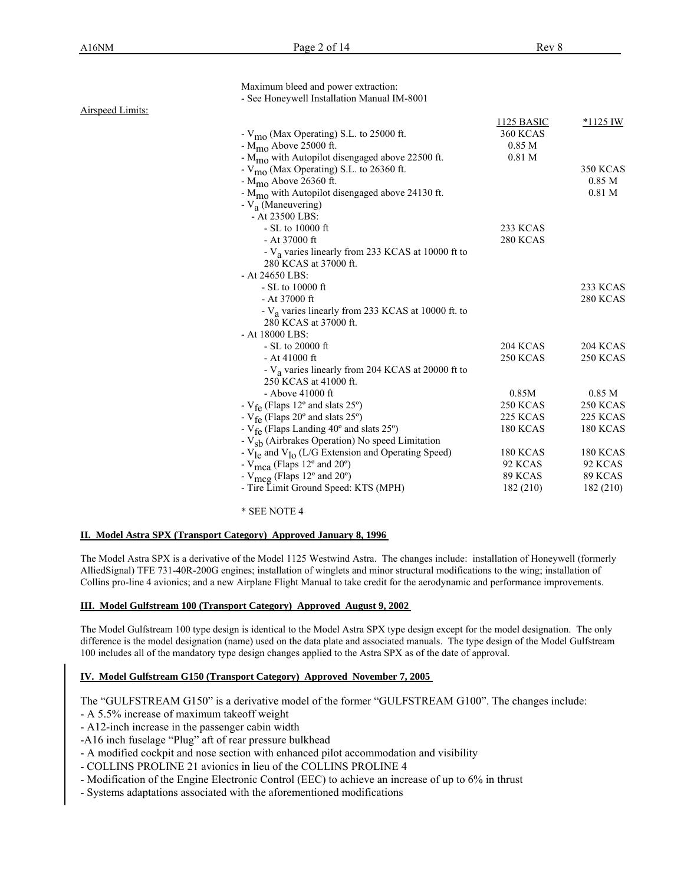|                  | Maximum bleed and power extraction:                                       |                   |                   |
|------------------|---------------------------------------------------------------------------|-------------------|-------------------|
|                  | - See Honeywell Installation Manual IM-8001                               |                   |                   |
| Airspeed Limits: |                                                                           |                   |                   |
|                  |                                                                           | <b>1125 BASIC</b> | $*1125$ IW        |
|                  | - $V_{\text{mo}}$ (Max Operating) S.L. to 25000 ft.                       | <b>360 KCAS</b>   |                   |
|                  | $-M_{\text{m0}}$ Above 25000 ft.                                          | 0.85 <sub>M</sub> |                   |
|                  | - $M_{\text{mo}}$ with Autopilot disengaged above 22500 ft.               | 0.81 <sub>M</sub> |                   |
|                  | - V <sub>mo</sub> (Max Operating) S.L. to 26360 ft.                       |                   | <b>350 KCAS</b>   |
|                  | $-M_{\text{m0}}$ Above 26360 ft.                                          |                   | 0.85 <sub>M</sub> |
|                  | - M <sub>mo</sub> with Autopilot disengaged above 24130 ft.               |                   | $0.81$ M          |
|                  | - $V_a$ (Maneuvering)                                                     |                   |                   |
|                  | $-$ At 23500 LBS:                                                         |                   |                   |
|                  | $- SL$ to 10000 ft                                                        | 233 KCAS          |                   |
|                  | $-$ At 37000 ft                                                           | 280 KCAS          |                   |
|                  | - V <sub>a</sub> varies linearly from 233 KCAS at 10000 ft to             |                   |                   |
|                  | 280 KCAS at 37000 ft.                                                     |                   |                   |
|                  | - At 24650 LBS:                                                           |                   |                   |
|                  | - SL to 10000 ft                                                          |                   | <b>233 KCAS</b>   |
|                  | $-$ At 37000 ft                                                           |                   | <b>280 KCAS</b>   |
|                  | - $V_a$ varies linearly from 233 KCAS at 10000 ft. to                     |                   |                   |
|                  | 280 KCAS at 37000 ft.                                                     |                   |                   |
|                  | - At 18000 LBS:                                                           |                   |                   |
|                  | $-$ SL to 20000 ft                                                        | <b>204 KCAS</b>   | <b>204 KCAS</b>   |
|                  | $-$ At 41000 ft                                                           | <b>250 KCAS</b>   | <b>250 KCAS</b>   |
|                  | - V <sub>a</sub> varies linearly from 204 KCAS at 20000 ft to             |                   |                   |
|                  | 250 KCAS at 41000 ft.                                                     |                   |                   |
|                  | - Above $41000$ ft                                                        | 0.85M             | 0.85 <sub>M</sub> |
|                  | - $V_{fe}$ (Flaps 12° and slats 25°)                                      | <b>250 KCAS</b>   | <b>250 KCAS</b>   |
|                  | - $V_{\text{fe}}$ (Flaps 20° and slats 25°)                               | 225 KCAS          | <b>225 KCAS</b>   |
|                  | - $V_{\text{fe}}$ (Flaps Landing 40° and slats 25°)                       | <b>180 KCAS</b>   | <b>180 KCAS</b>   |
|                  | - $V_{sb}$ (Airbrakes Operation) No speed Limitation                      |                   |                   |
|                  | - $V_{\text{le}}$ and $V_{\text{lo}}$ (L/G Extension and Operating Speed) | <b>180 KCAS</b>   | <b>180 KCAS</b>   |
|                  | - V <sub>mca</sub> (Flaps 12° and 20°)                                    | 92 KCAS           | 92 KCAS           |
|                  | - $V_{\text{meg}}$ (Flaps 12° and 20°)                                    | 89 KCAS           | 89 KCAS           |
|                  | - Tire Limit Ground Speed: KTS (MPH)                                      | 182 (210)         | 182 (210)         |
|                  |                                                                           |                   |                   |

#### \* SEE NOTE 4

#### **II. Model Astra SPX (Transport Category) Approved January 8, 1996**

The Model Astra SPX is a derivative of the Model 1125 Westwind Astra. The changes include: installation of Honeywell (formerly AlliedSignal) TFE 731-40R-200G engines; installation of winglets and minor structural modifications to the wing; installation of Collins pro-line 4 avionics; and a new Airplane Flight Manual to take credit for the aerodynamic and performance improvements.

### **III. Model Gulfstream 100 (Transport Category) Approved August 9, 2002**

The Model Gulfstream 100 type design is identical to the Model Astra SPX type design except for the model designation. The only difference is the model designation (name) used on the data plate and associated manuals. The type design of the Model Gulfstream 100 includes all of the mandatory type design changes applied to the Astra SPX as of the date of approval.

#### **IV. Model Gulfstream G150 (Transport Category) Approved November 7, 2005**

The "GULFSTREAM G150" is a derivative model of the former "GULFSTREAM G100". The changes include:

- A 5.5% increase of maximum takeoff weight
- A12-inch increase in the passenger cabin width
- -A16 inch fuselage "Plug" aft of rear pressure bulkhead
- A modified cockpit and nose section with enhanced pilot accommodation and visibility
- COLLINS PROLINE 21 avionics in lieu of the COLLINS PROLINE 4
- Modification of the Engine Electronic Control (EEC) to achieve an increase of up to 6% in thrust
- Systems adaptations associated with the aforementioned modifications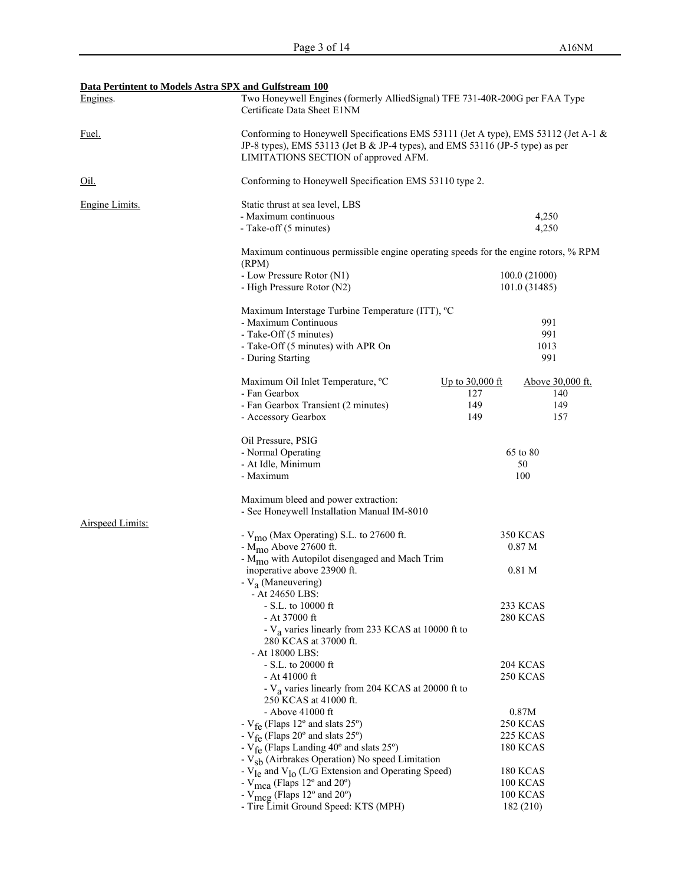| Data Pertintent to Models Astra SPX and Gulfstream 100 |                                                                                                                                                                                                              |                        |                                      |
|--------------------------------------------------------|--------------------------------------------------------------------------------------------------------------------------------------------------------------------------------------------------------------|------------------------|--------------------------------------|
| Engines.                                               | Two Honeywell Engines (formerly AlliedSignal) TFE 731-40R-200G per FAA Type<br>Certificate Data Sheet E1NM                                                                                                   |                        |                                      |
| Fuel.                                                  | Conforming to Honeywell Specifications EMS 53111 (Jet A type), EMS 53112 (Jet A-1 &<br>JP-8 types), EMS 53113 (Jet B & JP-4 types), and EMS 53116 (JP-5 type) as per<br>LIMITATIONS SECTION of approved AFM. |                        |                                      |
| <u>Oil.</u>                                            | Conforming to Honeywell Specification EMS 53110 type 2.                                                                                                                                                      |                        |                                      |
| Engine Limits.                                         | Static thrust at sea level, LBS                                                                                                                                                                              |                        |                                      |
|                                                        | - Maximum continuous                                                                                                                                                                                         |                        | 4,250                                |
|                                                        | - Take-off (5 minutes)                                                                                                                                                                                       |                        | 4,250                                |
|                                                        | Maximum continuous permissible engine operating speeds for the engine rotors, % RPM<br>(RPM)                                                                                                                 |                        |                                      |
|                                                        | - Low Pressure Rotor (N1)                                                                                                                                                                                    |                        | 100.0 (21000)                        |
|                                                        | - High Pressure Rotor (N2)                                                                                                                                                                                   |                        | 101.0 (31485)                        |
|                                                        | Maximum Interstage Turbine Temperature (ITT), <sup>o</sup> C                                                                                                                                                 |                        |                                      |
|                                                        | - Maximum Continuous                                                                                                                                                                                         |                        | 991                                  |
|                                                        | - Take-Off (5 minutes)                                                                                                                                                                                       |                        | 991                                  |
|                                                        | - Take-Off (5 minutes) with APR On                                                                                                                                                                           |                        | 1013                                 |
|                                                        | - During Starting                                                                                                                                                                                            |                        | 991                                  |
|                                                        | Maximum Oil Inlet Temperature, °C                                                                                                                                                                            | <u>Up to 30,000 ft</u> | Above 30,000 ft.                     |
|                                                        | - Fan Gearbox                                                                                                                                                                                                | 127                    | 140                                  |
|                                                        | - Fan Gearbox Transient (2 minutes)                                                                                                                                                                          | 149                    | 149                                  |
|                                                        | - Accessory Gearbox                                                                                                                                                                                          | 149                    | 157                                  |
|                                                        | Oil Pressure, PSIG                                                                                                                                                                                           |                        |                                      |
|                                                        | - Normal Operating                                                                                                                                                                                           |                        | 65 to 80                             |
|                                                        | - At Idle, Minimum                                                                                                                                                                                           |                        | 50                                   |
|                                                        | - Maximum                                                                                                                                                                                                    |                        | 100                                  |
|                                                        | Maximum bleed and power extraction:                                                                                                                                                                          |                        |                                      |
|                                                        | - See Honeywell Installation Manual IM-8010                                                                                                                                                                  |                        |                                      |
| <b>Airspeed Limits:</b>                                |                                                                                                                                                                                                              |                        |                                      |
|                                                        | - V <sub>mo</sub> (Max Operating) S.L. to 27600 ft.<br>- M <sub>mo</sub> Above 27600 ft.                                                                                                                     |                        | <b>350 KCAS</b><br>0.87 <sub>M</sub> |
|                                                        | - M <sub>mo</sub> with Autopilot disengaged and Mach Trim                                                                                                                                                    |                        |                                      |
|                                                        | inoperative above 23900 ft.                                                                                                                                                                                  |                        | 0.81 <sub>M</sub>                    |
|                                                        | - V <sub>a</sub> (Maneuvering)                                                                                                                                                                               |                        |                                      |
|                                                        | - At 24650 LBS:                                                                                                                                                                                              |                        |                                      |
|                                                        | $- S.L.$ to 10000 ft                                                                                                                                                                                         |                        | 233 KCAS                             |
|                                                        | $-$ At 37000 ft                                                                                                                                                                                              |                        | <b>280 KCAS</b>                      |
|                                                        | - V <sub>a</sub> varies linearly from 233 KCAS at 10000 ft to<br>280 KCAS at 37000 ft.                                                                                                                       |                        |                                      |
|                                                        | - At 18000 LBS:                                                                                                                                                                                              |                        |                                      |
|                                                        | $- S.L.$ to 20000 ft                                                                                                                                                                                         |                        | <b>204 KCAS</b>                      |
|                                                        | - At 41000 ft                                                                                                                                                                                                |                        | <b>250 KCAS</b>                      |
|                                                        | - V <sub>a</sub> varies linearly from 204 KCAS at 20000 ft to<br>250 KCAS at 41000 ft.                                                                                                                       |                        |                                      |
|                                                        | - Above 41000 ft                                                                                                                                                                                             |                        | 0.87M                                |
|                                                        | - $V_{fe}$ (Flaps 12° and slats 25°)                                                                                                                                                                         |                        | <b>250 KCAS</b>                      |
|                                                        | - $V_{fe}$ (Flaps 20° and slats 25°)                                                                                                                                                                         |                        | <b>225 KCAS</b>                      |
|                                                        | - $V_{fe}$ (Flaps Landing 40° and slats 25°)                                                                                                                                                                 |                        | <b>180 KCAS</b>                      |
|                                                        | - V <sub>sb</sub> (Airbrakes Operation) No speed Limitation                                                                                                                                                  |                        |                                      |
|                                                        | - $V_{1e}$ and $V_{10}$ (L/G Extension and Operating Speed)<br>- $V_{\text{mca}}$ (Flaps 12° and 20°)                                                                                                        |                        | <b>180 KCAS</b><br><b>100 KCAS</b>   |
|                                                        | - $V_{\text{meg}}$ (Flaps 12° and 20°)                                                                                                                                                                       |                        | <b>100 KCAS</b>                      |
|                                                        | - Tire Limit Ground Speed: KTS (MPH)                                                                                                                                                                         |                        | 182 (210)                            |
|                                                        |                                                                                                                                                                                                              |                        |                                      |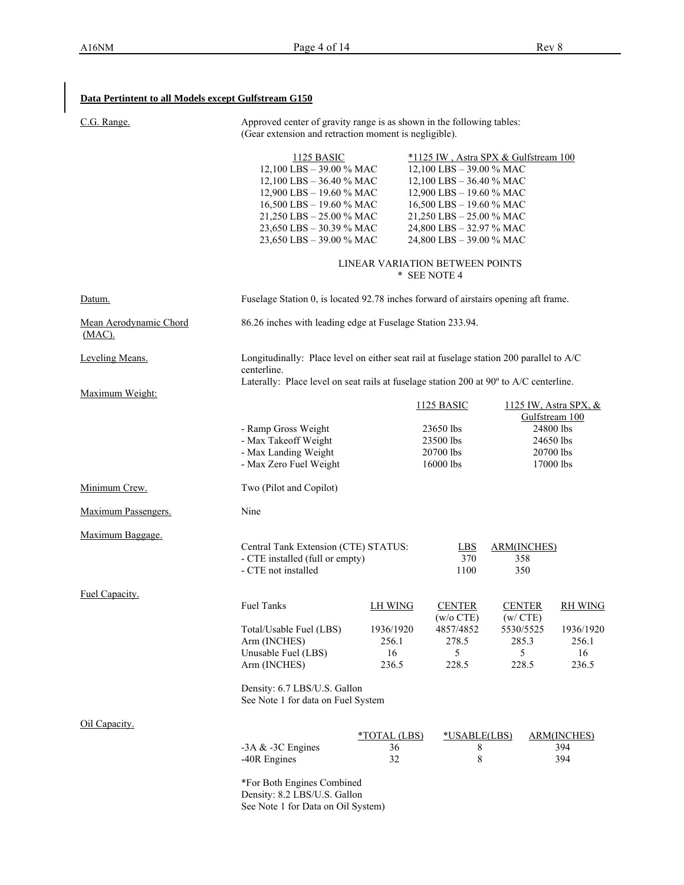**Data Pertintent to all Models except Gulfstream G150**

| C.G. Range.                      | Approved center of gravity range is as shown in the following tables:<br>(Gear extension and retraction moment is negligible).                                                                                          |                                   |                                                                                                                                                                                                                                            |                                             |                                                                    |
|----------------------------------|-------------------------------------------------------------------------------------------------------------------------------------------------------------------------------------------------------------------------|-----------------------------------|--------------------------------------------------------------------------------------------------------------------------------------------------------------------------------------------------------------------------------------------|---------------------------------------------|--------------------------------------------------------------------|
|                                  | <b>1125 BASIC</b><br>12,100 LBS - 39.00 % MAC<br>12,100 LBS $-$ 36.40 % MAC<br>12,900 LBS - 19.60 % MAC<br>16,500 LBS - 19.60 % MAC<br>21,250 LBS - 25.00 % MAC<br>23,650 LBS - 30.39 % MAC<br>23,650 LBS - 39.00 % MAC |                                   | *1125 IW, Astra SPX & Gulfstream 100<br>12,100 LBS - 39.00 % MAC<br>12,100 LBS $-$ 36.40 % MAC<br>12,900 LBS - 19.60 % MAC<br>16,500 LBS - 19.60 % MAC<br>21,250 LBS - 25.00 % MAC<br>24,800 LBS - 32.97 % MAC<br>24,800 LBS - 39.00 % MAC |                                             |                                                                    |
|                                  |                                                                                                                                                                                                                         |                                   | LINEAR VARIATION BETWEEN POINTS<br>* SEE NOTE 4                                                                                                                                                                                            |                                             |                                                                    |
| Datum.                           | Fuselage Station 0, is located 92.78 inches forward of airstairs opening aft frame.                                                                                                                                     |                                   |                                                                                                                                                                                                                                            |                                             |                                                                    |
| Mean Aerodynamic Chord<br>(MAC). | 86.26 inches with leading edge at Fuselage Station 233.94.                                                                                                                                                              |                                   |                                                                                                                                                                                                                                            |                                             |                                                                    |
| Leveling Means.                  | Longitudinally: Place level on either seat rail at fuselage station 200 parallel to A/C<br>centerline.<br>Laterally: Place level on seat rails at fuselage station 200 at 90° to A/C centerline.                        |                                   |                                                                                                                                                                                                                                            |                                             |                                                                    |
| Maximum Weight:                  |                                                                                                                                                                                                                         |                                   | <b>1125 BASIC</b>                                                                                                                                                                                                                          |                                             | 1125 IW, Astra SPX, &                                              |
|                                  | - Ramp Gross Weight<br>- Max Takeoff Weight<br>- Max Landing Weight<br>- Max Zero Fuel Weight                                                                                                                           |                                   | 23650 lbs<br>23500 lbs<br>20700 lbs<br>16000 lbs                                                                                                                                                                                           |                                             | Gulfstream 100<br>24800 lbs<br>24650 lbs<br>20700 lbs<br>17000 lbs |
| Minimum Crew.                    | Two (Pilot and Copilot)                                                                                                                                                                                                 |                                   |                                                                                                                                                                                                                                            |                                             |                                                                    |
| Maximum Passengers.              | Nine                                                                                                                                                                                                                    |                                   |                                                                                                                                                                                                                                            |                                             |                                                                    |
| Maximum Baggage.                 | Central Tank Extension (CTE) STATUS:<br>- CTE installed (full or empty)<br>- CTE not installed                                                                                                                          |                                   | <b>LBS</b><br>370<br>1100                                                                                                                                                                                                                  | <b>ARM(INCHES)</b><br>358<br>350            |                                                                    |
| Fuel Capacity.                   | Fuel Tanks                                                                                                                                                                                                              | <b>LH WING</b>                    | <b>CENTER</b>                                                                                                                                                                                                                              | <b>CENTER</b>                               | <b>RH WING</b>                                                     |
|                                  | Total/Usable Fuel (LBS)<br>Arm (INCHES)<br>Unusable Fuel (LBS)<br>Arm (INCHES)<br>Density: 6.7 LBS/U.S. Gallon<br>See Note 1 for data on Fuel System                                                                    | 1936/1920<br>256.1<br>16<br>236.5 | (w/o CTE)<br>4857/4852<br>278.5<br>5<br>228.5                                                                                                                                                                                              | (w/CTE)<br>5530/5525<br>285.3<br>5<br>228.5 | 1936/1920<br>256.1<br>16<br>236.5                                  |
| Oil Capacity.                    |                                                                                                                                                                                                                         |                                   |                                                                                                                                                                                                                                            |                                             |                                                                    |
|                                  | -3A $&$ -3C Engines<br>-40R Engines                                                                                                                                                                                     | *TOTAL (LBS)<br>36<br>32          | *USABLE(LBS)<br>8<br>8                                                                                                                                                                                                                     |                                             | <b>ARM(INCHES)</b><br>394<br>394                                   |
|                                  | *For Both Engines Combined<br>Density: 8.2 LBS/U.S. Gallon                                                                                                                                                              |                                   |                                                                                                                                                                                                                                            |                                             |                                                                    |

See Note 1 for Data on Oil System)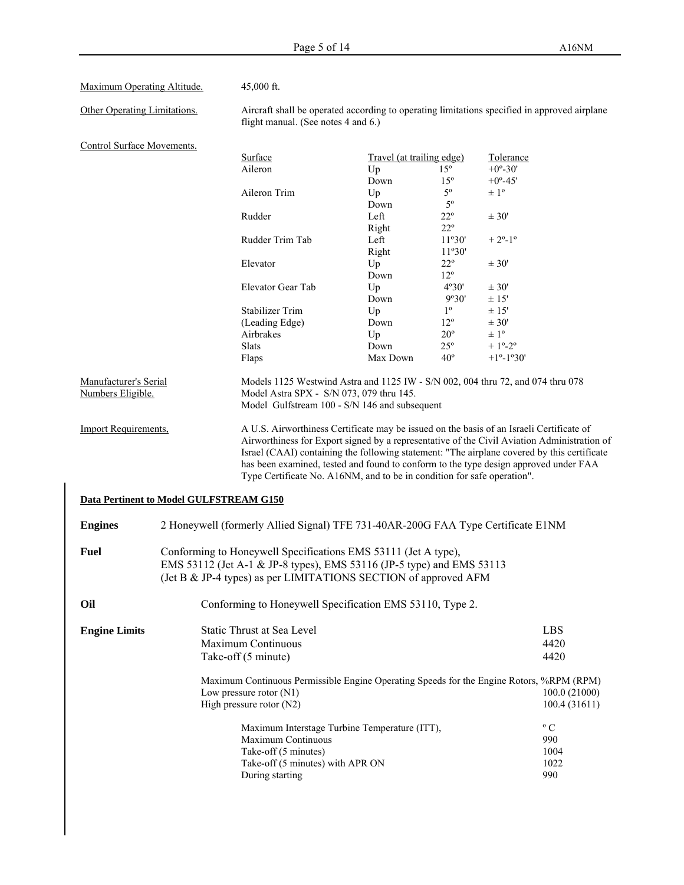| Other Operating Limitations.                                              |                                         | flight manual. (See notes 4 and 6.)                                                                                                                                                                                                                                                                                                                                                                                                                                    |                           |              | Aircraft shall be operated according to operating limitations specified in approved airplane |  |
|---------------------------------------------------------------------------|-----------------------------------------|------------------------------------------------------------------------------------------------------------------------------------------------------------------------------------------------------------------------------------------------------------------------------------------------------------------------------------------------------------------------------------------------------------------------------------------------------------------------|---------------------------|--------------|----------------------------------------------------------------------------------------------|--|
| Control Surface Movements.                                                |                                         |                                                                                                                                                                                                                                                                                                                                                                                                                                                                        |                           |              |                                                                                              |  |
|                                                                           |                                         | Surface                                                                                                                                                                                                                                                                                                                                                                                                                                                                | Travel (at trailing edge) |              | Tolerance                                                                                    |  |
|                                                                           |                                         | Aileron                                                                                                                                                                                                                                                                                                                                                                                                                                                                | Up                        | $15^{\circ}$ | $+0^{\circ} - 30'$                                                                           |  |
|                                                                           |                                         |                                                                                                                                                                                                                                                                                                                                                                                                                                                                        | Down                      | $15^{\circ}$ | $+0^{\circ} - 45'$                                                                           |  |
|                                                                           |                                         | Aileron Trim                                                                                                                                                                                                                                                                                                                                                                                                                                                           | Up                        | $5^{\circ}$  | $\pm$ 1°                                                                                     |  |
|                                                                           |                                         |                                                                                                                                                                                                                                                                                                                                                                                                                                                                        | Down                      | $5^{\circ}$  |                                                                                              |  |
|                                                                           |                                         | Rudder                                                                                                                                                                                                                                                                                                                                                                                                                                                                 | Left                      | $22^{\circ}$ | ± 30'                                                                                        |  |
|                                                                           |                                         |                                                                                                                                                                                                                                                                                                                                                                                                                                                                        | Right                     | $22^{\circ}$ |                                                                                              |  |
|                                                                           |                                         | Rudder Trim Tab                                                                                                                                                                                                                                                                                                                                                                                                                                                        | Left                      | 11°30'       | $+2^{\circ}-1^{\circ}$                                                                       |  |
|                                                                           |                                         |                                                                                                                                                                                                                                                                                                                                                                                                                                                                        | Right                     | 11°30'       |                                                                                              |  |
|                                                                           |                                         | Elevator                                                                                                                                                                                                                                                                                                                                                                                                                                                               |                           | $22^{\circ}$ |                                                                                              |  |
|                                                                           |                                         |                                                                                                                                                                                                                                                                                                                                                                                                                                                                        | Up                        |              | $\pm 30'$                                                                                    |  |
|                                                                           |                                         |                                                                                                                                                                                                                                                                                                                                                                                                                                                                        | Down                      | $12^{\circ}$ |                                                                                              |  |
|                                                                           |                                         | Elevator Gear Tab                                                                                                                                                                                                                                                                                                                                                                                                                                                      | Up                        | 4°30'        | ± 30'                                                                                        |  |
|                                                                           |                                         |                                                                                                                                                                                                                                                                                                                                                                                                                                                                        | Down                      | 9°30'        | ± 15'                                                                                        |  |
|                                                                           |                                         | <b>Stabilizer Trim</b>                                                                                                                                                                                                                                                                                                                                                                                                                                                 | Up                        | $1^{\circ}$  | ± 15'                                                                                        |  |
|                                                                           |                                         | (Leading Edge)                                                                                                                                                                                                                                                                                                                                                                                                                                                         | Down                      | $12^{\circ}$ | ± 30'                                                                                        |  |
|                                                                           |                                         | Airbrakes                                                                                                                                                                                                                                                                                                                                                                                                                                                              | Up                        | $20^{\circ}$ | $\pm 1^{\circ}$                                                                              |  |
|                                                                           |                                         | Slats                                                                                                                                                                                                                                                                                                                                                                                                                                                                  | Down                      | $25^{\circ}$ | $+1^{\circ}-2^{\circ}$                                                                       |  |
|                                                                           |                                         | Flaps                                                                                                                                                                                                                                                                                                                                                                                                                                                                  | Max Down                  | $40^{\circ}$ | $+1^{\circ}-1^{\circ}30'$                                                                    |  |
| Manufacturer's Serial<br>Numbers Eligible.<br><b>Import Requirements,</b> |                                         | Models 1125 Westwind Astra and 1125 IW - S/N 002, 004 thru 72, and 074 thru 078<br>Model Astra SPX - S/N 073, 079 thru 145.<br>Model Gulfstream 100 - S/N 146 and subsequent<br>A U.S. Airworthiness Certificate may be issued on the basis of an Israeli Certificate of<br>Airworthiness for Export signed by a representative of the Civil Aviation Administration of<br>Israel (CAAI) containing the following statement: "The airplane covered by this certificate |                           |              |                                                                                              |  |
|                                                                           |                                         |                                                                                                                                                                                                                                                                                                                                                                                                                                                                        |                           |              |                                                                                              |  |
|                                                                           |                                         | Type Certificate No. A16NM, and to be in condition for safe operation".                                                                                                                                                                                                                                                                                                                                                                                                |                           |              | has been examined, tested and found to conform to the type design approved under FAA         |  |
|                                                                           | Data Pertinent to Model GULFSTREAM G150 |                                                                                                                                                                                                                                                                                                                                                                                                                                                                        |                           |              |                                                                                              |  |
| <b>Engines</b>                                                            |                                         | 2 Honeywell (formerly Allied Signal) TFE 731-40AR-200G FAA Type Certificate E1NM                                                                                                                                                                                                                                                                                                                                                                                       |                           |              |                                                                                              |  |
|                                                                           |                                         | Conforming to Honeywell Specifications EMS 53111 (Jet A type),<br>EMS 53112 (Jet A-1 & JP-8 types), EMS 53116 (JP-5 type) and EMS 53113                                                                                                                                                                                                                                                                                                                                |                           |              |                                                                                              |  |
|                                                                           |                                         | (Jet B & JP-4 types) as per LIMITATIONS SECTION of approved AFM                                                                                                                                                                                                                                                                                                                                                                                                        |                           |              |                                                                                              |  |
|                                                                           |                                         | Conforming to Honeywell Specification EMS 53110, Type 2.                                                                                                                                                                                                                                                                                                                                                                                                               |                           |              |                                                                                              |  |
|                                                                           |                                         | Static Thrust at Sea Level                                                                                                                                                                                                                                                                                                                                                                                                                                             |                           |              | <b>LBS</b>                                                                                   |  |
| <b>Fuel</b><br>Oil<br><b>Engine Limits</b>                                |                                         | Maximum Continuous                                                                                                                                                                                                                                                                                                                                                                                                                                                     |                           |              | 4420                                                                                         |  |
|                                                                           |                                         |                                                                                                                                                                                                                                                                                                                                                                                                                                                                        |                           |              |                                                                                              |  |
|                                                                           |                                         | Take-off (5 minute)                                                                                                                                                                                                                                                                                                                                                                                                                                                    |                           |              | 4420                                                                                         |  |
|                                                                           |                                         | Maximum Continuous Permissible Engine Operating Speeds for the Engine Rotors, %RPM (RPM)                                                                                                                                                                                                                                                                                                                                                                               |                           |              |                                                                                              |  |
|                                                                           |                                         | Low pressure rotor $(N1)$                                                                                                                                                                                                                                                                                                                                                                                                                                              |                           |              | 100.0 (21000)                                                                                |  |
|                                                                           |                                         | High pressure rotor (N2)                                                                                                                                                                                                                                                                                                                                                                                                                                               |                           |              | 100.4 (31611)                                                                                |  |
|                                                                           |                                         | Maximum Interstage Turbine Temperature (ITT),                                                                                                                                                                                                                                                                                                                                                                                                                          |                           |              | $\rm ^{\circ}$ C                                                                             |  |
|                                                                           |                                         | Maximum Continuous                                                                                                                                                                                                                                                                                                                                                                                                                                                     |                           |              | 990                                                                                          |  |
|                                                                           |                                         | Take-off (5 minutes)                                                                                                                                                                                                                                                                                                                                                                                                                                                   |                           |              | 1004                                                                                         |  |
|                                                                           |                                         | Take-off (5 minutes) with APR ON<br>During starting                                                                                                                                                                                                                                                                                                                                                                                                                    |                           |              | 1022<br>990                                                                                  |  |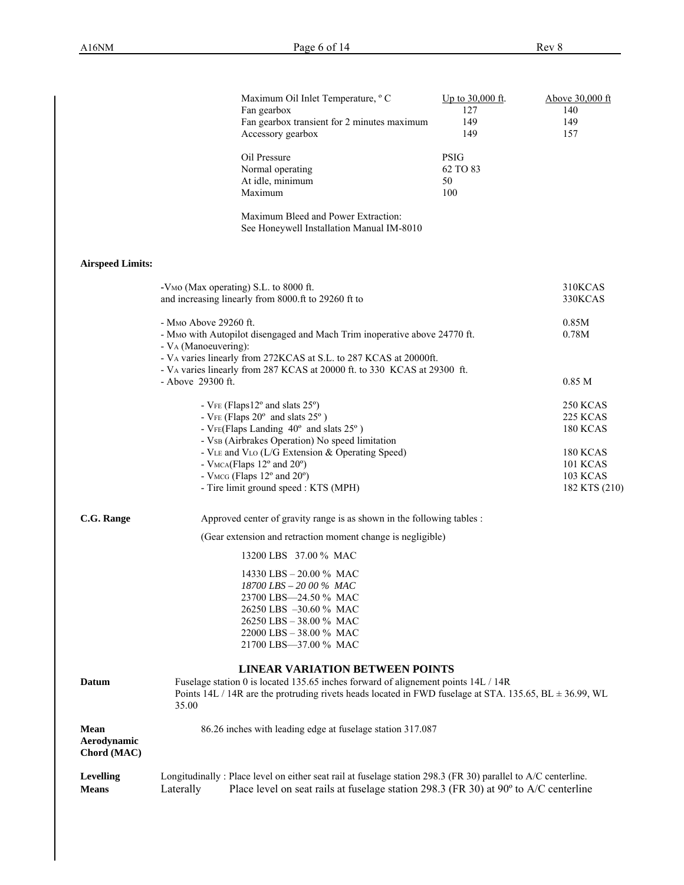|                                    | Maximum Oil Inlet Temperature, °C<br>Fan gearbox<br>Fan gearbox transient for 2 minutes maximum<br>Accessory gearbox                                                                                                                                 | Up to 30,000 ft.<br>127<br>149<br>149 | Above 30,000 ft<br>140<br>149<br>157                            |
|------------------------------------|------------------------------------------------------------------------------------------------------------------------------------------------------------------------------------------------------------------------------------------------------|---------------------------------------|-----------------------------------------------------------------|
|                                    | Oil Pressure<br>Normal operating<br>At idle, minimum<br>Maximum                                                                                                                                                                                      | <b>PSIG</b><br>62 TO 83<br>50<br>100  |                                                                 |
|                                    | Maximum Bleed and Power Extraction:<br>See Honeywell Installation Manual IM-8010                                                                                                                                                                     |                                       |                                                                 |
| <b>Airspeed Limits:</b>            |                                                                                                                                                                                                                                                      |                                       |                                                                 |
|                                    | -V <sub>MO</sub> (Max operating) S.L. to 8000 ft.<br>and increasing linearly from 8000.ft to 29260 ft to                                                                                                                                             |                                       | 310KCAS<br>330KCAS                                              |
|                                    | - M <sub>0</sub> Above 29260 ft.<br>- MMo with Autopilot disengaged and Mach Trim inoperative above 24770 ft.<br>- V <sub>A</sub> (Manoeuvering):<br>- VA varies linearly from 272KCAS at S.L. to 287 KCAS at 20000ft.                               |                                       | 0.85M<br>0.78M                                                  |
|                                    | - VA varies linearly from 287 KCAS at 20000 ft. to 330 KCAS at 29300 ft.<br>- Above 29300 ft.                                                                                                                                                        |                                       | 0.85 M                                                          |
|                                    | - $VFE$ (Flaps12 $^{\circ}$ and slats 25 $^{\circ}$ )<br>- $VFE$ (Flaps $20^{\circ}$ and slats $25^{\circ}$ )<br>- VFE(Flaps Landing 40° and slats 25°)<br>- VsB (Airbrakes Operation) No speed limitation                                           |                                       | <b>250 KCAS</b><br><b>225 KCAS</b><br><b>180 KCAS</b>           |
|                                    | - VLE and VLO (L/G Extension & Operating Speed)<br>- VMCA(Flaps 12° and 20°)<br>- VMCG (Flaps 12° and 20°)<br>- Tire limit ground speed : KTS (MPH)                                                                                                  |                                       | <b>180 KCAS</b><br><b>101 KCAS</b><br>103 KCAS<br>182 KTS (210) |
| C.G. Range                         | Approved center of gravity range is as shown in the following tables :                                                                                                                                                                               |                                       |                                                                 |
|                                    | (Gear extension and retraction moment change is negligible)                                                                                                                                                                                          |                                       |                                                                 |
|                                    | 13200 LBS 37.00 % MAC                                                                                                                                                                                                                                |                                       |                                                                 |
|                                    | 14330 LBS - 20.00 % MAC<br>18700 LBS - 20 00 % MAC<br>23700 LBS-24.50 % MAC<br>26250 LBS -30.60 % MAC<br>26250 LBS - 38.00 % MAC<br>22000 LBS - 38.00 % MAC<br>21700 LBS-37.00 % MAC                                                                 |                                       |                                                                 |
| <b>Datum</b>                       | <b>LINEAR VARIATION BETWEEN POINTS</b><br>Fuselage station 0 is located 135.65 inches forward of alignement points 14L / 14R<br>Points 14L / 14R are the protruding rivets heads located in FWD fuselage at STA. 135.65, BL $\pm$ 36.99, WL<br>35.00 |                                       |                                                                 |
| Mean<br>Aerodynamic<br>Chord (MAC) | 86.26 inches with leading edge at fuselage station 317.087                                                                                                                                                                                           |                                       |                                                                 |
| <b>Levelling</b><br><b>Means</b>   | Longitudinally: Place level on either seat rail at fuselage station 298.3 (FR 30) parallel to A/C centerline.<br>Place level on seat rails at fuselage station 298.3 (FR 30) at 90° to A/C centerline<br>Laterally                                   |                                       |                                                                 |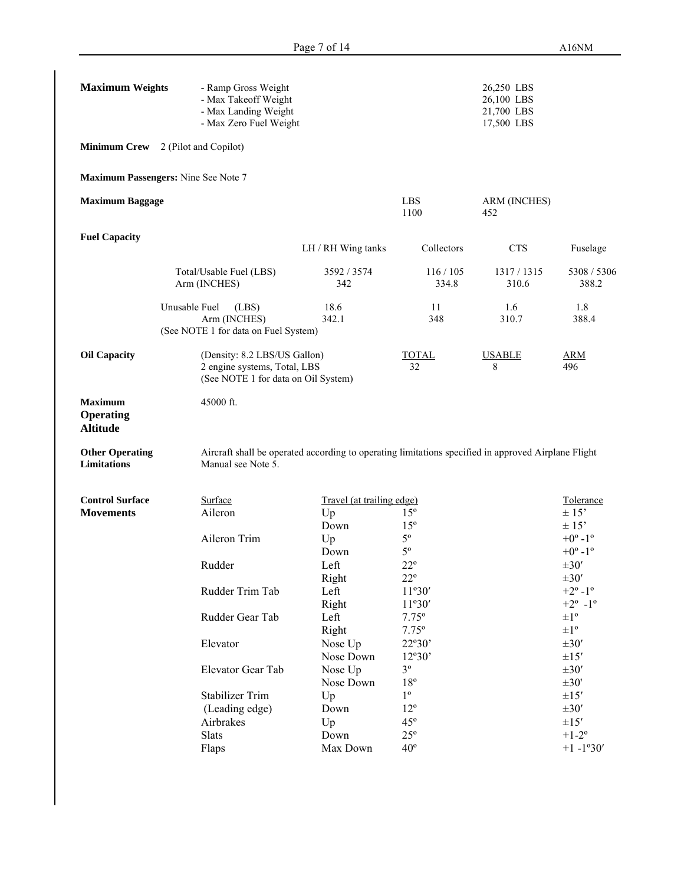| <b>Maximum Weights</b>                                | - Ramp Gross Weight<br>- Max Takeoff Weight<br>- Max Landing Weight<br>- Max Zero Fuel Weight       |                                                                                                     |                    | 26,250 LBS<br>26,100 LBS<br>21,700 LBS<br>17,500 LBS |                                                      |
|-------------------------------------------------------|-----------------------------------------------------------------------------------------------------|-----------------------------------------------------------------------------------------------------|--------------------|------------------------------------------------------|------------------------------------------------------|
|                                                       | <b>Minimum Crew</b> 2 (Pilot and Copilot)                                                           |                                                                                                     |                    |                                                      |                                                      |
|                                                       | Maximum Passengers: Nine See Note 7                                                                 |                                                                                                     |                    |                                                      |                                                      |
| <b>Maximum Baggage</b>                                |                                                                                                     |                                                                                                     | <b>LBS</b><br>1100 | ARM (INCHES)<br>452                                  |                                                      |
| <b>Fuel Capacity</b>                                  |                                                                                                     | LH / RH Wing tanks                                                                                  | Collectors         | <b>CTS</b>                                           | Fuselage                                             |
|                                                       | Total/Usable Fuel (LBS)<br>Arm (INCHES)                                                             | 3592 / 3574<br>342                                                                                  | 116 / 105<br>334.8 | 1317/1315<br>310.6                                   | 5308 / 5306<br>388.2                                 |
|                                                       | Unusable Fuel<br>(LBS)<br>Arm (INCHES)<br>(See NOTE 1 for data on Fuel System)                      | 18.6<br>342.1                                                                                       | 11<br>348          | 1.6<br>310.7                                         | 1.8<br>388.4                                         |
| <b>Oil Capacity</b>                                   | (Density: 8.2 LBS/US Gallon)<br>2 engine systems, Total, LBS<br>(See NOTE 1 for data on Oil System) |                                                                                                     | <b>TOTAL</b><br>32 | <b>USABLE</b><br>8                                   | <b>ARM</b><br>496                                    |
| <b>Maximum</b><br><b>Operating</b><br><b>Altitude</b> | 45000 ft.                                                                                           |                                                                                                     |                    |                                                      |                                                      |
| <b>Other Operating</b><br><b>Limitations</b>          | Manual see Note 5.                                                                                  | Aircraft shall be operated according to operating limitations specified in approved Airplane Flight |                    |                                                      |                                                      |
| <b>Control Surface</b>                                | Surface                                                                                             | Travel (at trailing edge)                                                                           |                    |                                                      | Tolerance                                            |
| <b>Movements</b>                                      | Aileron                                                                                             | Up                                                                                                  | $15^{\circ}$       |                                                      | $\pm$ 15'                                            |
|                                                       |                                                                                                     | Down                                                                                                | $15^{\circ}$       |                                                      | $\pm$ 15'                                            |
|                                                       | Aileron Trim                                                                                        | Up                                                                                                  | $5^{\rm o}$        |                                                      | $+0^{\circ}$ -1 $^{\circ}$                           |
|                                                       |                                                                                                     | Down                                                                                                | $5^{\rm o}$        |                                                      | $+0^{\circ}$ -1 $^{\circ}$                           |
|                                                       | Rudder                                                                                              | Left                                                                                                | $22^{\circ}$       |                                                      | $\pm 30'$                                            |
|                                                       |                                                                                                     | Right                                                                                               | $22^{\circ}$       |                                                      | $\pm 30'$                                            |
|                                                       | Rudder Trim Tab                                                                                     | Left<br>Right                                                                                       | 11°30'<br>11°30'   |                                                      | $+2^{\circ} - 1^{\circ}$<br>$+2^{\circ} - 1^{\circ}$ |
|                                                       | Rudder Gear Tab                                                                                     | Left                                                                                                | $7.75^{\circ}$     |                                                      | $\pm 1^{\circ}$                                      |
|                                                       |                                                                                                     | Right                                                                                               | $7.75^{\circ}$     |                                                      | $\pm 1^{\circ}$                                      |
|                                                       | Elevator                                                                                            | Nose Up                                                                                             | 22°30'             |                                                      | $\pm 30'$                                            |
|                                                       |                                                                                                     | Nose Down                                                                                           | 12°30'             |                                                      | $\pm 15'$                                            |
|                                                       | Elevator Gear Tab                                                                                   | Nose Up                                                                                             | $3^{\circ}$        |                                                      | $\pm 30'$                                            |
|                                                       |                                                                                                     | Nose Down                                                                                           | $18^{\circ}$       |                                                      | $\pm 30'$                                            |
|                                                       | Stabilizer Trim                                                                                     | Up                                                                                                  | $1^{\circ}$        |                                                      | $\pm 15'$                                            |
|                                                       | (Leading edge)                                                                                      | Down                                                                                                | $12^{\circ}$       |                                                      | $\pm 30'$                                            |
|                                                       | Airbrakes                                                                                           | Up                                                                                                  | $45^{\circ}$       |                                                      | $\pm 15'$                                            |
|                                                       | Slats                                                                                               | Down                                                                                                | $25^{\circ}$       |                                                      | $+1-2^{\circ}$                                       |
|                                                       | Flaps                                                                                               | Max Down                                                                                            | $40^{\circ}$       |                                                      | $+1 - 1°30'$                                         |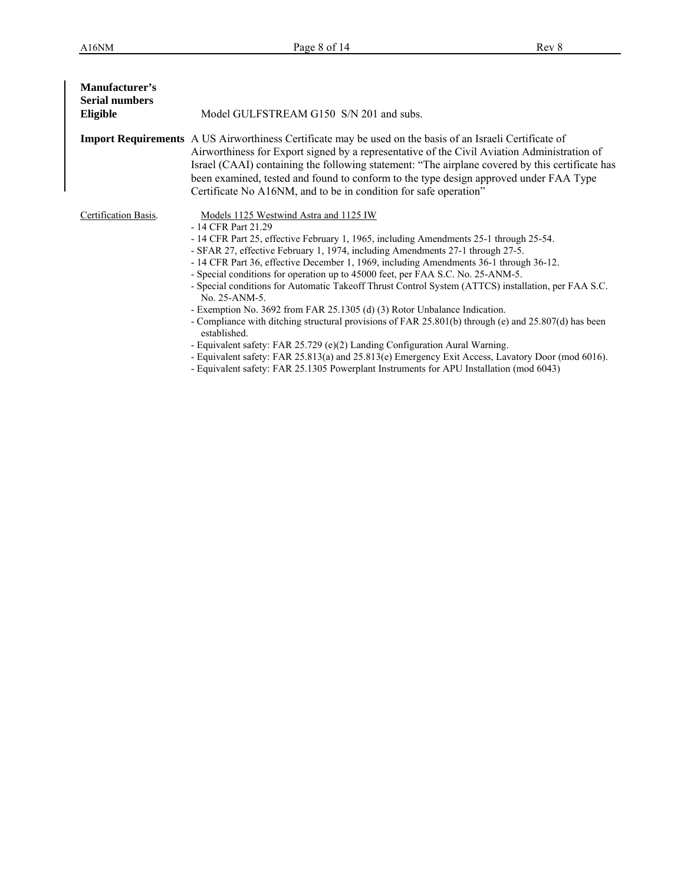| Manufacturer's<br><b>Serial numbers</b><br>Eligible | Model GULFSTREAM G150 S/N 201 and subs.                                                                                                                                                                                                                                                                                                                                                                                                                                                                                                                                                                                                                                                                                                                                                                                                                                                                                                                                                                                            |
|-----------------------------------------------------|------------------------------------------------------------------------------------------------------------------------------------------------------------------------------------------------------------------------------------------------------------------------------------------------------------------------------------------------------------------------------------------------------------------------------------------------------------------------------------------------------------------------------------------------------------------------------------------------------------------------------------------------------------------------------------------------------------------------------------------------------------------------------------------------------------------------------------------------------------------------------------------------------------------------------------------------------------------------------------------------------------------------------------|
|                                                     | <b>Import Requirements</b> A US Airworthiness Certificate may be used on the basis of an Israeli Certificate of<br>Airworthiness for Export signed by a representative of the Civil Aviation Administration of<br>Israel (CAAI) containing the following statement: "The airplane covered by this certificate has<br>been examined, tested and found to conform to the type design approved under FAA Type<br>Certificate No A16NM, and to be in condition for safe operation"                                                                                                                                                                                                                                                                                                                                                                                                                                                                                                                                                     |
| Certification Basis.                                | Models 1125 Westwind Astra and 1125 IW<br>- 14 CFR Part 21.29<br>- 14 CFR Part 25, effective February 1, 1965, including Amendments 25-1 through 25-54.<br>- SFAR 27, effective February 1, 1974, including Amendments 27-1 through 27-5.<br>- 14 CFR Part 36, effective December 1, 1969, including Amendments 36-1 through 36-12.<br>- Special conditions for operation up to 45000 feet, per FAA S.C. No. 25-ANM-5.<br>- Special conditions for Automatic Takeoff Thrust Control System (ATTCS) installation, per FAA S.C.<br>No. 25-ANM-5.<br>- Exemption No. 3692 from FAR 25.1305 (d) (3) Rotor Unbalance Indication.<br>- Compliance with ditching structural provisions of FAR 25.801(b) through (e) and 25.807(d) has been<br>established.<br>- Equivalent safety: FAR 25.729 (e)(2) Landing Configuration Aural Warning.<br>- Equivalent safety: FAR 25.813(a) and 25.813(e) Emergency Exit Access, Lavatory Door (mod 6016).<br>- Equivalent safety: FAR 25.1305 Powerplant Instruments for APU Installation (mod 6043) |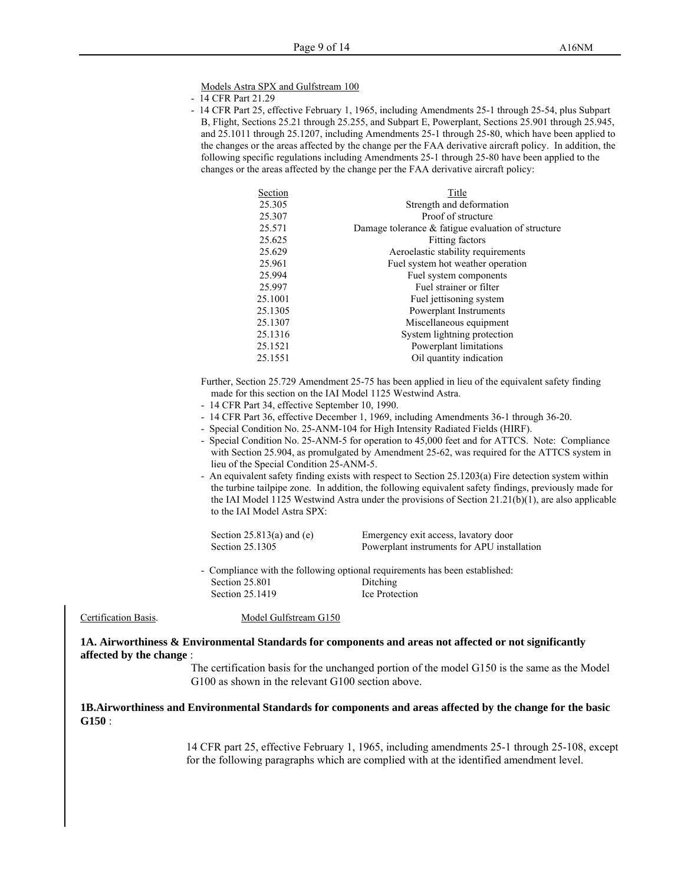Models Astra SPX and Gulfstream 100

- 14 CFR Part 21.29
- 14 CFR Part 25, effective February 1, 1965, including Amendments 25-1 through 25-54, plus Subpart B, Flight, Sections 25.21 through 25.255, and Subpart E, Powerplant, Sections 25.901 through 25.945, and 25.1011 through 25.1207, including Amendments 25-1 through 25-80, which have been applied to the changes or the areas affected by the change per the FAA derivative aircraft policy. In addition, the following specific regulations including Amendments 25-1 through 25-80 have been applied to the changes or the areas affected by the change per the FAA derivative aircraft policy:

| Section | Title                                                 |
|---------|-------------------------------------------------------|
| 25.305  | Strength and deformation                              |
| 25.307  | Proof of structure                                    |
| 25.571  | Damage tolerance $\&$ fatigue evaluation of structure |
| 25.625  | <b>Fitting factors</b>                                |
| 25.629  | Aeroelastic stability requirements                    |
| 25.961  | Fuel system hot weather operation                     |
| 25.994  | Fuel system components                                |
| 25.997  | Fuel strainer or filter                               |
| 25.1001 | Fuel jettisoning system                               |
| 25.1305 | Powerplant Instruments                                |
| 25.1307 | Miscellaneous equipment                               |
| 25.1316 | System lightning protection                           |
| 25.1521 | Powerplant limitations                                |
| 25.1551 | Oil quantity indication                               |

Further, Section 25.729 Amendment 25-75 has been applied in lieu of the equivalent safety finding made for this section on the IAI Model 1125 Westwind Astra.

- 14 CFR Part 34, effective September 10, 1990.
- 14 CFR Part 36, effective December 1, 1969, including Amendments 36-1 through 36-20.
- Special Condition No. 25-ANM-104 for High Intensity Radiated Fields (HIRF).
- Special Condition No. 25-ANM-5 for operation to 45,000 feet and for ATTCS. Note: Compliance with Section 25.904, as promulgated by Amendment 25-62, was required for the ATTCS system in lieu of the Special Condition 25-ANM-5.
- An equivalent safety finding exists with respect to Section 25.1203(a) Fire detection system within the turbine tailpipe zone. In addition, the following equivalent safety findings, previously made for the IAI Model 1125 Westwind Astra under the provisions of Section 21.21(b)(1), are also applicable to the IAI Model Astra SPX:

Section 25.813(a) and (e) Emergency exit access, lavatory door Section 25.1305 Powerplant instruments for APU installation

- Compliance with the following optional requirements has been established: Section 25.801 Ditching Section 25.1419 Ice Protection

Certification Basis. Model Gulfstream G150

**1A. Airworthiness & Environmental Standards for components and areas not affected or not significantly affected by the change** :

> The certification basis for the unchanged portion of the model G150 is the same as the Model G100 as shown in the relevant G100 section above.

#### **1B.Airworthiness and Environmental Standards for components and areas affected by the change for the basic G150** :

14 CFR part 25, effective February 1, 1965, including amendments 25-1 through 25-108, except for the following paragraphs which are complied with at the identified amendment level.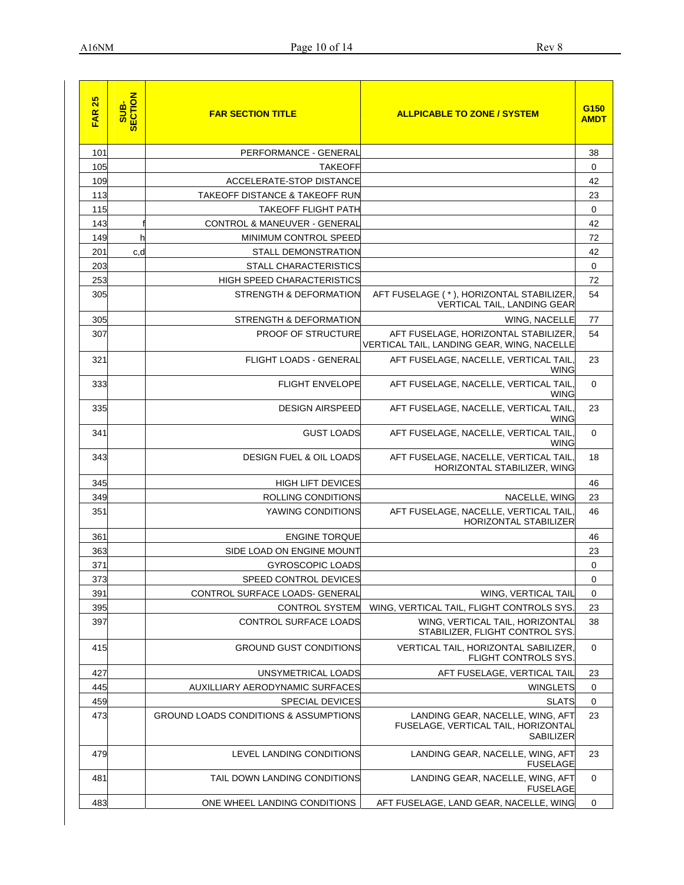| 25<br><b>FAR</b> | SUB-<br>SECTION | <b>FAR SECTION TITLE</b>                         | <b>ALLPICABLE TO ZONE / SYSTEM</b>                                                   | G150<br><b>AMDT</b> |
|------------------|-----------------|--------------------------------------------------|--------------------------------------------------------------------------------------|---------------------|
| 101              |                 | PERFORMANCE - GENERAL                            |                                                                                      | 38                  |
| 105              |                 | <b>TAKEOFF</b>                                   |                                                                                      | 0                   |
| 109              |                 | ACCELERATE-STOP DISTANCE                         |                                                                                      | 42                  |
| 113              |                 | TAKEOFF DISTANCE & TAKEOFF RUN                   |                                                                                      | 23                  |
| 115              |                 | <b>TAKEOFF FLIGHT PATH</b>                       |                                                                                      | 0                   |
| 143              |                 | CONTROL & MANEUVER - GENERAL                     |                                                                                      | 42                  |
| 149              | h               | MINIMUM CONTROL SPEED                            |                                                                                      | 72                  |
| 201              | c,d             | <b>STALL DEMONSTRATION</b>                       |                                                                                      | 42                  |
| 203              |                 | <b>STALL CHARACTERISTICS</b>                     |                                                                                      | 0                   |
| 253              |                 | <b>HIGH SPEED CHARACTERISTICS</b>                |                                                                                      | 72                  |
| 305              |                 | STRENGTH & DEFORMATION                           | AFT FUSELAGE (*), HORIZONTAL STABILIZER,<br>VERTICAL TAIL, LANDING GEAR              | 54                  |
| 305              |                 | STRENGTH & DEFORMATION                           | WING, NACELLE                                                                        | 77                  |
| 307              |                 | <b>PROOF OF STRUCTURE</b>                        | AFT FUSELAGE, HORIZONTAL STABILIZER,<br>VERTICAL TAIL, LANDING GEAR, WING, NACELLE   | 54                  |
| 321              |                 | FLIGHT LOADS - GENERAL                           | AFT FUSELAGE, NACELLE, VERTICAL TAIL<br><b>WING</b>                                  | 23                  |
| 333              |                 | <b>FLIGHT ENVELOPE</b>                           | AFT FUSELAGE, NACELLE, VERTICAL TAIL<br><b>WING</b>                                  | $\mathbf 0$         |
| 335              |                 | <b>DESIGN AIRSPEED</b>                           | AFT FUSELAGE, NACELLE, VERTICAL TAIL<br><b>WING</b>                                  | 23                  |
| 341              |                 | <b>GUST LOADS</b>                                | AFT FUSELAGE, NACELLE, VERTICAL TAIL<br><b>WING</b>                                  | $\mathbf 0$         |
| 343              |                 | <b>DESIGN FUEL &amp; OIL LOADS</b>               | AFT FUSELAGE, NACELLE, VERTICAL TAIL<br>HORIZONTAL STABILIZER, WING                  | 18                  |
| 345              |                 | <b>HIGH LIFT DEVICES</b>                         |                                                                                      | 46                  |
| 349              |                 | ROLLING CONDITIONS                               | NACELLE, WING                                                                        | 23                  |
| 351              |                 | YAWING CONDITIONS                                | AFT FUSELAGE, NACELLE, VERTICAL TAIL<br><b>HORIZONTAL STABILIZER</b>                 | 46                  |
| 361              |                 | <b>ENGINE TORQUE</b>                             |                                                                                      | 46                  |
| 363              |                 | SIDE LOAD ON ENGINE MOUNT                        |                                                                                      | 23                  |
| 371              |                 | <b>GYROSCOPIC LOADS</b>                          |                                                                                      | 0                   |
| 373              |                 | SPEED CONTROL DEVICES                            |                                                                                      | 0                   |
| 391              |                 | CONTROL SURFACE LOADS- GENERAL                   | WING, VERTICAL TAIL                                                                  | 0                   |
| 395              |                 | <b>CONTROL SYSTEM</b>                            | WING, VERTICAL TAIL, FLIGHT CONTROLS SYS                                             | 23                  |
| 397              |                 | <b>CONTROL SURFACE LOADS</b>                     | WING, VERTICAL TAIL, HORIZONTAL<br>STABILIZER, FLIGHT CONTROL SYS.                   | 38                  |
| 415              |                 | <b>GROUND GUST CONDITIONS</b>                    | VERTICAL TAIL, HORIZONTAL SABILIZER,<br>FLIGHT CONTROLS SYS.                         | $\mathbf 0$         |
| 427              |                 | UNSYMETRICAL LOADS                               | AFT FUSELAGE, VERTICAL TAIL                                                          | 23                  |
| 445              |                 | AUXILLIARY AERODYNAMIC SURFACES                  | <b>WINGLETS</b>                                                                      | $\mathbf 0$         |
| 459              |                 | <b>SPECIAL DEVICES</b>                           | <b>SLATS</b>                                                                         | $\mathbf 0$         |
| 473              |                 | <b>GROUND LOADS CONDITIONS &amp; ASSUMPTIONS</b> | LANDING GEAR, NACELLE, WING, AFT<br>FUSELAGE, VERTICAL TAIL, HORIZONTAL<br>SABILIZER | 23                  |
| 479              |                 | LEVEL LANDING CONDITIONS                         | LANDING GEAR, NACELLE, WING, AFT<br><b>FUSELAGE</b>                                  | 23                  |
| 481              |                 | TAIL DOWN LANDING CONDITIONS                     | LANDING GEAR, NACELLE, WING, AFT<br><b>FUSELAGE</b>                                  | 0                   |
| 483              |                 | ONE WHEEL LANDING CONDITIONS                     | AFT FUSELAGE, LAND GEAR, NACELLE, WING                                               | 0                   |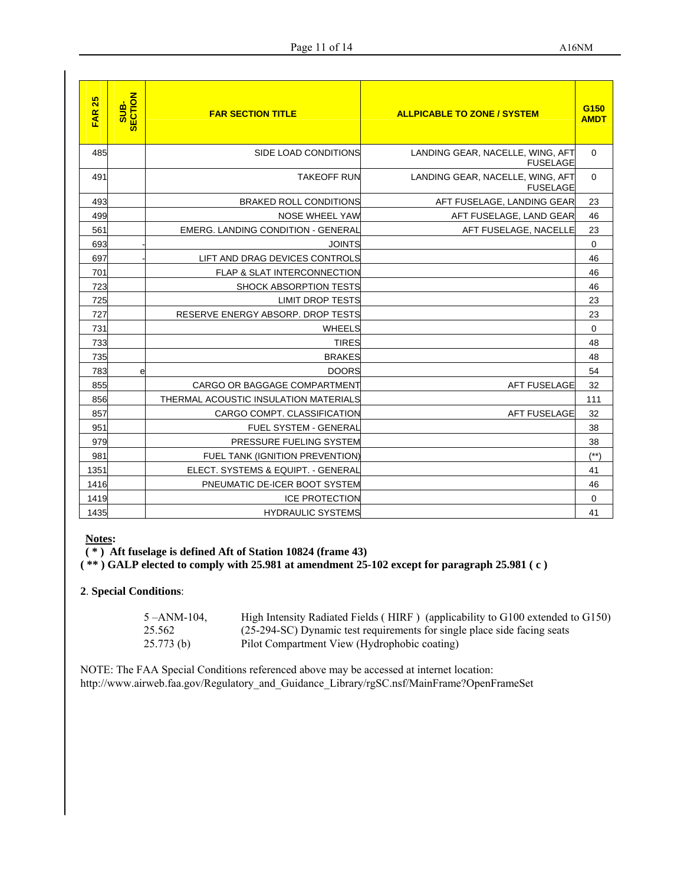| $\overline{25}$<br><b>FAR</b> | SUB-<br>SECTION | <b>FAR SECTION TITLE</b>                  | <b>ALLPICABLE TO ZONE / SYSTEM</b>                  | G <sub>150</sub><br><b>AMDT</b> |
|-------------------------------|-----------------|-------------------------------------------|-----------------------------------------------------|---------------------------------|
| 485                           |                 | SIDE LOAD CONDITIONS                      | LANDING GEAR, NACELLE, WING, AFT<br><b>FUSELAGE</b> | $\Omega$                        |
| 491                           |                 | <b>TAKEOFF RUN</b>                        | LANDING GEAR, NACELLE, WING, AFT<br><b>FUSELAGE</b> | $\mathbf 0$                     |
| 493                           |                 | <b>BRAKED ROLL CONDITIONS</b>             | AFT FUSELAGE, LANDING GEAR                          | 23                              |
| 499                           |                 | <b>NOSE WHEEL YAW</b>                     | AFT FUSELAGE, LAND GEAR                             | 46                              |
| 561                           |                 | <b>EMERG. LANDING CONDITION - GENERAL</b> | AFT FUSELAGE, NACELLE                               | 23                              |
| 693                           |                 | <b>JOINTS</b>                             |                                                     | 0                               |
| 697                           |                 | LIFT AND DRAG DEVICES CONTROLS            |                                                     | 46                              |
| 701                           |                 | FLAP & SLAT INTERCONNECTION               |                                                     | 46                              |
| 723                           |                 | <b>SHOCK ABSORPTION TESTS</b>             |                                                     | 46                              |
| 725                           |                 | <b>LIMIT DROP TESTS</b>                   |                                                     | 23                              |
| 727                           |                 | RESERVE ENERGY ABSORP, DROP TESTS         |                                                     | 23                              |
| 731                           |                 | <b>WHEELS</b>                             |                                                     | 0                               |
| 733                           |                 | <b>TIRES</b>                              |                                                     | 48                              |
| 735                           |                 | <b>BRAKES</b>                             |                                                     | 48                              |
| 783                           | e               | <b>DOORS</b>                              |                                                     | 54                              |
| 855                           |                 | CARGO OR BAGGAGE COMPARTMENT              | <b>AFT FUSELAGE</b>                                 | 32                              |
| 856                           |                 | THERMAL ACOUSTIC INSULATION MATERIALS     |                                                     | 111                             |
| 857                           |                 | CARGO COMPT. CLASSIFICATION               | <b>AFT FUSELAGE</b>                                 | 32                              |
| 951                           |                 | <b>FUEL SYSTEM - GENERAL</b>              |                                                     | 38                              |
| 979                           |                 | PRESSURE FUELING SYSTEM                   |                                                     | 38                              |
| 981                           |                 | FUEL TANK (IGNITION PREVENTION)           |                                                     | $(***)$                         |
| 1351                          |                 | ELECT. SYSTEMS & EQUIPT. - GENERAL        |                                                     | 41                              |
| 1416                          |                 | PNEUMATIC DE-ICER BOOT SYSTEM             |                                                     | 46                              |
| 1419                          |                 | <b>ICE PROTECTION</b>                     |                                                     | $\mathbf 0$                     |
| 1435                          |                 | <b>HYDRAULIC SYSTEMS</b>                  |                                                     | 41                              |

# **Notes:**

**( \* ) Aft fuselage is defined Aft of Station 10824 (frame 43)** 

**( \*\* ) GALP elected to comply with 25.981 at amendment 25-102 except for paragraph 25.981 ( c )**

## **2**. **Special Conditions**:

| 5-ANM-104. | High Intensity Radiated Fields (HIRF) (applicability to G100 extended to G150) |
|------------|--------------------------------------------------------------------------------|
| 25.562     | (25-294-SC) Dynamic test requirements for single place side facing seats       |
| 25.773(b)  | Pilot Compartment View (Hydrophobic coating)                                   |

NOTE: The FAA Special Conditions referenced above may be accessed at internet location: http://www.airweb.faa.gov/Regulatory\_and\_Guidance\_Library/rgSC.nsf/MainFrame?OpenFrameSet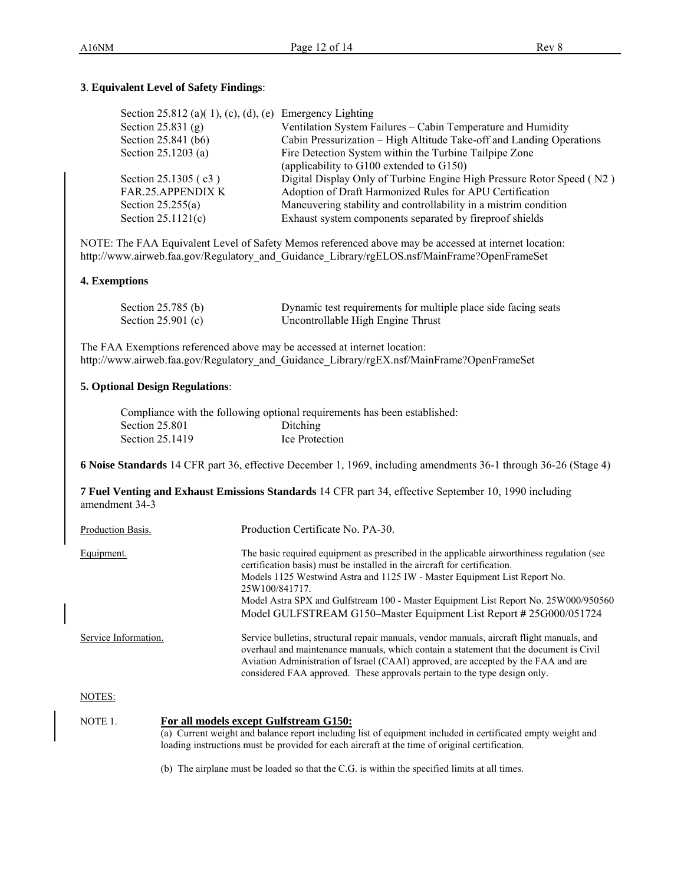## **3**. **Equivalent Level of Safety Findings**:

| Section 25.812 (a)(1), (c), (d), (e) Emergency Lighting |                                                                       |
|---------------------------------------------------------|-----------------------------------------------------------------------|
| Section 25.831 $(g)$                                    | Ventilation System Failures – Cabin Temperature and Humidity          |
| Section 25.841 (b6)                                     | Cabin Pressurization – High Altitude Take-off and Landing Operations  |
| Section 25.1203 (a)                                     | Fire Detection System within the Turbine Tailpipe Zone                |
|                                                         | (applicability to G100 extended to G150)                              |
| Section 25.1305 (c3)                                    | Digital Display Only of Turbine Engine High Pressure Rotor Speed (N2) |
| <b>FAR.25.APPENDIX K</b>                                | Adoption of Draft Harmonized Rules for APU Certification              |
| Section $25.255(a)$                                     | Maneuvering stability and controllability in a mistrim condition      |
| Section $25.1121(c)$                                    | Exhaust system components separated by fireproof shields              |
|                                                         |                                                                       |

NOTE: The FAA Equivalent Level of Safety Memos referenced above may be accessed at internet location: http://www.airweb.faa.gov/Regulatory\_and\_Guidance\_Library/rgELOS.nsf/MainFrame?OpenFrameSet

#### **4. Exemptions**

| Section $25.785$ (b) | Dynamic test requirements for multiple place side facing seats |
|----------------------|----------------------------------------------------------------|
| Section $25.901$ (c) | Uncontrollable High Engine Thrust                              |

The FAA Exemptions referenced above may be accessed at internet location: http://www.airweb.faa.gov/Regulatory\_and\_Guidance\_Library/rgEX.nsf/MainFrame?OpenFrameSet

### **5. Optional Design Regulations**:

|                   | Compliance with the following optional requirements has been established: |
|-------------------|---------------------------------------------------------------------------|
| Section 25.801    | Ditching                                                                  |
| Section $25.1419$ | Ice Protection                                                            |

**6 Noise Standards** 14 CFR part 36, effective December 1, 1969, including amendments 36-1 through 36-26 (Stage 4)

**7 Fuel Venting and Exhaust Emissions Standards** 14 CFR part 34, effective September 10, 1990 including amendment 34-3

| Production Basis.    | Production Certificate No. PA-30.                                                                                                                                                                                                                                                                                                                                                                                                  |
|----------------------|------------------------------------------------------------------------------------------------------------------------------------------------------------------------------------------------------------------------------------------------------------------------------------------------------------------------------------------------------------------------------------------------------------------------------------|
| Equipment.           | The basic required equipment as prescribed in the applicable airworthiness regulation (see<br>certification basis) must be installed in the aircraft for certification.<br>Models 1125 Westwind Astra and 1125 IW - Master Equipment List Report No.<br>25W100/841717<br>Model Astra SPX and Gulfstream 100 - Master Equipment List Report No. 25W000/950560<br>Model GULFSTREAM G150–Master Equipment List Report # 25G000/051724 |
| Service Information. | Service bulletins, structural repair manuals, vendor manuals, aircraft flight manuals, and<br>overhaul and maintenance manuals, which contain a statement that the document is Civil<br>Aviation Administration of Israel (CAAI) approved, are accepted by the FAA and are<br>considered FAA approved. These approvals pertain to the type design only.                                                                            |
| NOTES:               |                                                                                                                                                                                                                                                                                                                                                                                                                                    |

| NOTE 1. | For all models except Gulfstream G150:                                                                      |
|---------|-------------------------------------------------------------------------------------------------------------|
|         | (a) Current weight and balance report including list of equipment included in certificated empty weight and |
|         | loading instructions must be provided for each aircraft at the time of original certification.              |
|         |                                                                                                             |

(b) The airplane must be loaded so that the C.G. is within the specified limits at all times.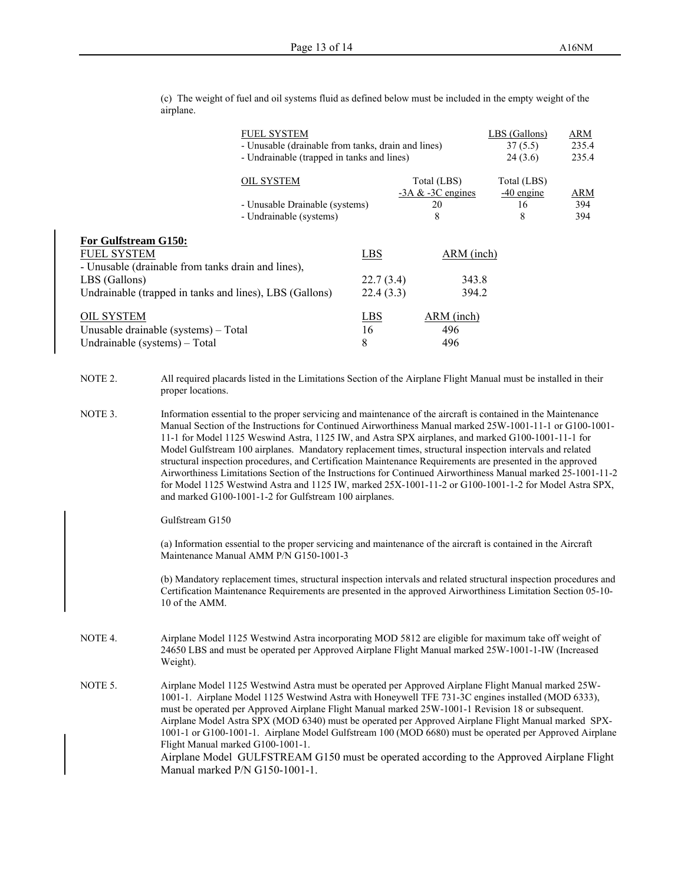(c) The weight of fuel and oil systems fluid as defined below must be included in the empty weight of the airplane.

|                                                                                                                                                                              | <b>FUEL SYSTEM</b>                                                                                                                                                                                                                                                                                                                                                                                                                                                                                                                                                                                                                                                                                                                                                                                                                                                                                                                                                                                                                                                                                                                                                                                                                                               | - Unusable (drainable from tanks, drain and lines)<br>- Undrainable (trapped in tanks and lines) |                                      |                                               | LBS (Gallons)<br>37(5.5)<br>24(3.6)    | <b>ARM</b><br>235.4<br>235.4 |
|------------------------------------------------------------------------------------------------------------------------------------------------------------------------------|------------------------------------------------------------------------------------------------------------------------------------------------------------------------------------------------------------------------------------------------------------------------------------------------------------------------------------------------------------------------------------------------------------------------------------------------------------------------------------------------------------------------------------------------------------------------------------------------------------------------------------------------------------------------------------------------------------------------------------------------------------------------------------------------------------------------------------------------------------------------------------------------------------------------------------------------------------------------------------------------------------------------------------------------------------------------------------------------------------------------------------------------------------------------------------------------------------------------------------------------------------------|--------------------------------------------------------------------------------------------------|--------------------------------------|-----------------------------------------------|----------------------------------------|------------------------------|
|                                                                                                                                                                              | <b>OIL SYSTEM</b>                                                                                                                                                                                                                                                                                                                                                                                                                                                                                                                                                                                                                                                                                                                                                                                                                                                                                                                                                                                                                                                                                                                                                                                                                                                | - Unusable Drainable (systems)<br>- Undrainable (systems)                                        |                                      | Total (LBS)<br>$-3A & -3C$ engines<br>20<br>8 | Total (LBS)<br>$-40$ engine<br>16<br>8 | <b>ARM</b><br>394<br>394     |
| For Gulfstream G150:<br><b>FUEL SYSTEM</b><br>- Unusable (drainable from tanks drain and lines),<br>LBS (Gallons)<br>Undrainable (trapped in tanks and lines), LBS (Gallons) |                                                                                                                                                                                                                                                                                                                                                                                                                                                                                                                                                                                                                                                                                                                                                                                                                                                                                                                                                                                                                                                                                                                                                                                                                                                                  |                                                                                                  | <b>LBS</b><br>22.7(3.4)<br>22.4(3.3) | ARM (inch)<br>343.8<br>394.2                  |                                        |                              |
| <b>OIL SYSTEM</b><br>Unusable drainable (systems) - Total<br>Undrainable (systems) - Total                                                                                   |                                                                                                                                                                                                                                                                                                                                                                                                                                                                                                                                                                                                                                                                                                                                                                                                                                                                                                                                                                                                                                                                                                                                                                                                                                                                  |                                                                                                  | LBS<br>16<br>8                       | ARM (inch)<br>496<br>496                      |                                        |                              |
| NOTE 2.                                                                                                                                                                      | All required placards listed in the Limitations Section of the Airplane Flight Manual must be installed in their<br>proper locations.                                                                                                                                                                                                                                                                                                                                                                                                                                                                                                                                                                                                                                                                                                                                                                                                                                                                                                                                                                                                                                                                                                                            |                                                                                                  |                                      |                                               |                                        |                              |
| NOTE 3.                                                                                                                                                                      | Information essential to the proper servicing and maintenance of the aircraft is contained in the Maintenance<br>Manual Section of the Instructions for Continued Airworthiness Manual marked 25W-1001-11-1 or G100-1001-<br>11-1 for Model 1125 Weswind Astra, 1125 IW, and Astra SPX airplanes, and marked G100-1001-11-1 for<br>Model Gulfstream 100 airplanes. Mandatory replacement times, structural inspection intervals and related<br>structural inspection procedures, and Certification Maintenance Requirements are presented in the approved<br>Airworthiness Limitations Section of the Instructions for Continued Airworthiness Manual marked 25-1001-11-2<br>for Model 1125 Westwind Astra and 1125 IW, marked 25X-1001-11-2 or G100-1001-1-2 for Model Astra SPX,<br>and marked G100-1001-1-2 for Gulfstream 100 airplanes.<br>Gulfstream G150<br>(a) Information essential to the proper servicing and maintenance of the aircraft is contained in the Aircraft<br>Maintenance Manual AMM P/N G150-1001-3<br>(b) Mandatory replacement times, structural inspection intervals and related structural inspection procedures and<br>Certification Maintenance Requirements are presented in the approved Airworthiness Limitation Section 05-10- |                                                                                                  |                                      |                                               |                                        |                              |
|                                                                                                                                                                              | 10 of the AMM.                                                                                                                                                                                                                                                                                                                                                                                                                                                                                                                                                                                                                                                                                                                                                                                                                                                                                                                                                                                                                                                                                                                                                                                                                                                   |                                                                                                  |                                      |                                               |                                        |                              |
| NOTE 4.                                                                                                                                                                      | Airplane Model 1125 Westwind Astra incorporating MOD 5812 are eligible for maximum take off weight of<br>24650 LBS and must be operated per Approved Airplane Flight Manual marked 25W-1001-1-IW (Increased<br>Weight).                                                                                                                                                                                                                                                                                                                                                                                                                                                                                                                                                                                                                                                                                                                                                                                                                                                                                                                                                                                                                                          |                                                                                                  |                                      |                                               |                                        |                              |
| NOTE 5.                                                                                                                                                                      | Airplane Model 1125 Westwind Astra must be operated per Approved Airplane Flight Manual marked 25W-<br>1001-1. Airplane Model 1125 Westwind Astra with Honeywell TFE 731-3C engines installed (MOD 6333),<br>must be operated per Approved Airplane Flight Manual marked 25W-1001-1 Revision 18 or subsequent.<br>Airplane Model Astra SPX (MOD 6340) must be operated per Approved Airplane Flight Manual marked SPX-<br>1001-1 or G100-1001-1. Airplane Model Gulfstream 100 (MOD 6680) must be operated per Approved Airplane<br>Flight Manual marked G100-1001-1.<br>Airplane Model GULFSTREAM G150 must be operated according to the Approved Airplane Flight<br>Manual marked P/N G150-1001-1.                                                                                                                                                                                                                                                                                                                                                                                                                                                                                                                                                             |                                                                                                  |                                      |                                               |                                        |                              |